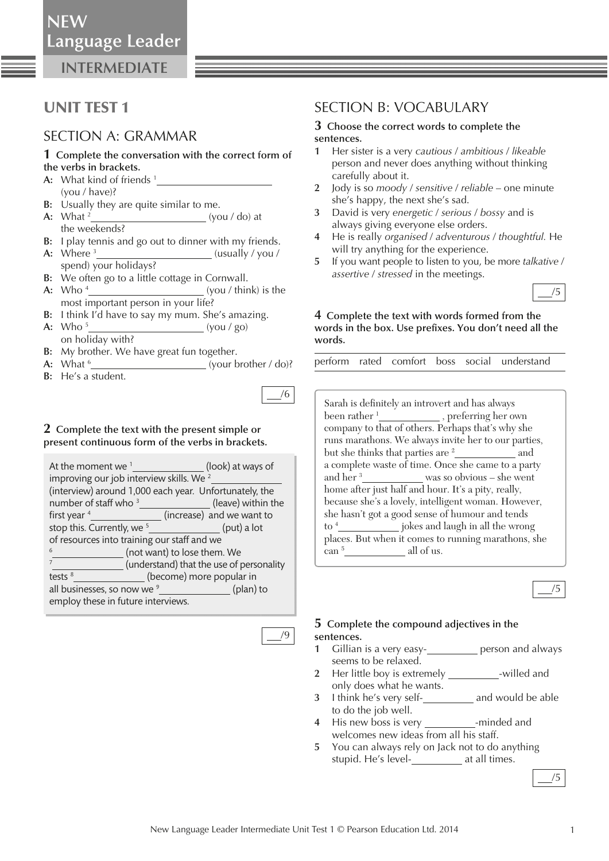**NEW**

**INTERMEDIATE**

## UNIT TEST 1

### SECTION A: GRAMMAR

#### **1 Complete the conversation with the correct form of the verbs in brackets.**

- **A:** What kind of friends 1  (you / have)?
- **B:** Usually they are quite similar to me.
- **A:** What <sup>2</sup>\_\_\_\_\_\_\_\_\_\_\_\_\_\_\_\_\_\_\_\_\_\_\_\_\_\_\_\_\_\_\_(you / do) at the weekends?
- **B:** I play tennis and go out to dinner with my friends.
- **A:** Where 3 (usually / you / spend) your holidays?
- **B:** We often go to a little cottage in Cornwall.
- **A:** Who 4 (you / think) is the most important person in your life?
- **B:** I think I'd have to say my mum. She's amazing.
- **A:** Who 5 *<u> </u> (you / go)* on holiday with?
- **B:** My brother. We have great fun together.
- **A:** What 6 (your brother / do)?
- **B:** He's a student.

#### **2 Complete the text with the present simple or present continuous form of the verbs in brackets.**

| At the moment we $1$                                   | (look) at ways of                        |
|--------------------------------------------------------|------------------------------------------|
| improving our job interview skills. We <sup>2</sup>    |                                          |
| (interview) around 1,000 each year. Unfortunately, the |                                          |
| number of staff who <sup>3</sup>                       | (leave) within the                       |
| first year <sup>4</sup>                                | (increase) and we want to                |
| stop this. Currently, we <sup>5</sup>                  | (put) a lot                              |
| of resources into training our staff and we            |                                          |
|                                                        | (not want) to lose them. We              |
|                                                        | (understand) that the use of personality |
| tests $8$                                              | (become) more popular in                 |
| all businesses, so now we <sup>9</sup>                 | (plan) to                                |
| employ these in future interviews.                     |                                          |

/9

/6

### SECTION B: VOCABULARY

#### **3 Choose the correct words to complete the sentences.**

- **1** Her sister is a very *cautious* / *ambitious* / *likeable* person and never does anything without thinking carefully about it.
- **2** Jody is so *moody* / *sensitive* / *reliable* one minute she's happy, the next she's sad.
- **3** David is very *energetic* / *serious* / *bossy* and is always giving everyone else orders.
- **4** He is really *organised* / *adventurous* / *thoughtful.* He will try anything for the experience.
- **5** If you want people to listen to you, be more *talkative* / *assertive* / *stressed* in the meetings.



#### **4 Complete the text with words formed from the**  words in the box. Use prefixes. You don't need all the **words.**

perform rated comfort boss social understand

Sarah is definitely an introvert and has always been rather <sup>1</sup><sub>\_\_\_\_\_\_\_\_\_\_\_\_\_\_</sub>, preferring her own company to that of others. Perhaps that's why she runs marathons. We always invite her to our parties, but she thinks that parties are <sup>2</sup><sub>\_\_\_\_\_\_\_\_\_\_\_\_\_</sub> and a complete waste of time. Once she came to a party and her <sup>3</sup>\_\_\_\_\_\_\_\_\_\_\_\_\_\_ was so obvious – she went home after just half and hour. It's a pity, really, because she's a lovely, intelligent woman. However, she hasn't got a good sense of humour and tends to <sup>4</sup><sub>1</sub> jokes and laugh in all the wrong places. But when it comes to running marathons, she can 5 all of us.



#### **5 Complete the compound adjectives in the sentences.**

- 1 Gillian is a very easy-**Example 20 and almays** person and always seems to be relaxed.
- **2** Her little boy is extremely \_\_\_\_\_\_\_\_\_\_\_-willed and only does what he wants.
- **3** I think he's very self-**2** and would be able to do the job well.
- **4** His new boss is very \_\_\_\_\_\_\_\_\_\_-minded and welcomes new ideas from all his staff.
- **5** You can always rely on Jack not to do anything stupid. He's level-*\_\_\_\_\_\_\_\_\_\_* at all times.

/5